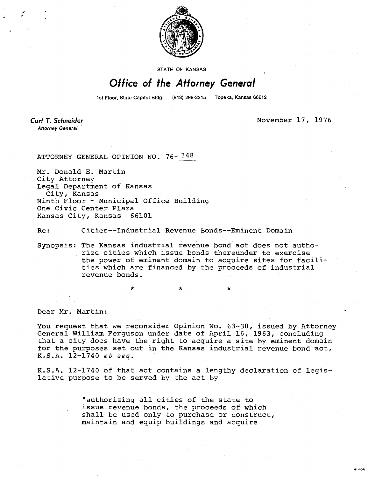

STATE OF KANSAS

## Office of the Attorney General

1st Floor, State Capitol Bldg. (913) 296-2215 Topeka, Kansas 66612

**Curt T. Schneider Attorney General** 

November 17, 1976

MI-1042

ATTORNEY GENERAL OPINION NO. 76- 348

Mr. Donald E. Martin City Attorney Legal Department of Kansas City, Kansas Ninth Floor - Municipal Office Building One Civic Center Plaza Kansas City, Kansas 66101

Re: Cities--Industrial Revenue Bonds--Eminent Domain

Synopsis: The Kansas industrial revenue bond act does not authorize cities which issue bonds thereunder to exercise the power of eminent domain to acquire sites for facilities which are financed by the proceeds of industrial revenue bonds.

Dear Mr. Martin:

You request that we reconsider Opinion No. 63-30, issued by Attorney General William Ferguson under date of April 16, 1963, concluding that a city does have the right to acquire a site by eminent domain for the purposes set out in the Kansas industrial revenue bond act, K.S.A. 12-1740 et seq.

K.S.A. 12-1740 of that act contains a lengthy declaration of legislative purpose to be served by the act by

> "authorizing all cities of the state to issue revenue bonds, the proceeds of which shall be used only to purchase or construct, maintain and equip buildings and acquire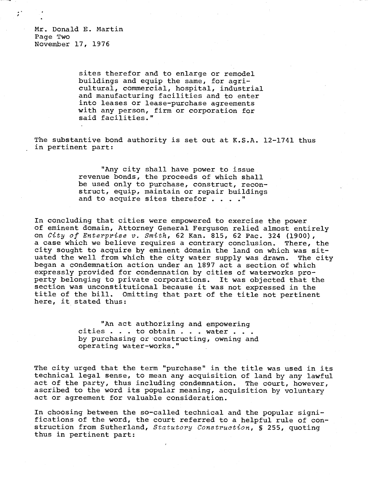Mr. Donald E. Martin Page Two November 17, 1976

> sites therefor and to enlarge or remodel buildings and equip the same, for agricultural, commercial, hospital, industrial and manufacturing facilities and to enter into leases or lease-purchase agreements with any person, firm or corporation for said facilities."

The substantive bond authority is set out at K.S.A. 12-1741 thus in pertinent part:

> "Any city shall have power to issue revenue bonds, the proceeds of which shall be used only to purchase, construct, reconstruct, equip, maintain or repair buildings and to acquire sites therefor . . . . "

In concluding that cities were empowered to exercise the power of eminent domain, Attorney General Ferguson relied almost entirely on City of Enterprise v. Smith, 62 Kan. 815, 62 Pac. 324 (1900), a case which we believe requires a contrary conclusion. There, the city sought to acquire by eminent domain the land on which was situated the well from which the city water supply was drawn. The city began a condemnation action under an 1897 act a section of which expressly provided for condemnation by cities of waterworks property belonging to private corporations. It was objected that the section was unconstitutional because it was not expressed in the title of the bill. Omitting that part of the title not pertinent here, it stated thus:

> "An act authorizing and empowering cities . . . to obtain . . . water . . . by purchasing or constructing, owning and operating water-works."

The city urged that the term "purchase" in the title was used in its technical legal sense, to mean any acquisition of land by any lawful act of the party, thus including condemnation. The court, however, ascribed to the word its popular meaning, acquisition by voluntary act or agreement for valuable consideration.

In choosing between the so-called technical and the popular significations of the word, the court referred to a helpful rule of construction from Sutherland, Statutory Construction, § 255, quoting thus in pertinent part: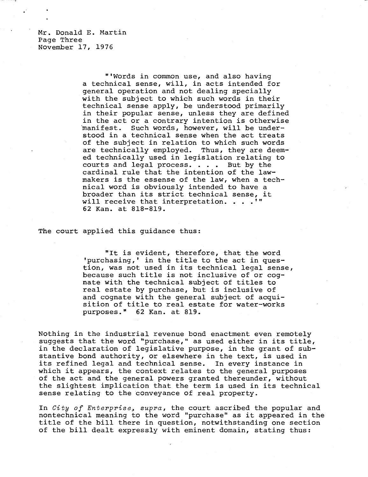Mr. Donald E. Martin Page Three November 17, 1976

> "'Words in common use, and also having a technical sense, will, in acts intended for general operation and not dealing specially with the subject to which such words in their technical sense apply, be understood primarily in their popular sense, unless they are defined in the act or a contrary intention is otherwise 'manifest. Such words, however, will be understood in a technical sense when the act treats of the subject in relation to which such words are technically employed. Thus, they are deemed technically used in legislation relating to courts and legal process. . . . But by the cardinal rule that the intention of the lawmakers is the essense of the law, when a technical word is obviously intended to have a broader than its strict technical sense, it will receive that interpretation. . . .'" 62 Kan. at 818-819.

The court applied this guidance thus:

"It is evident, therefore, that the word 'purchasing,' in the title to the act in question, was not used in its technical legal sense, because such title is not inclusive of or cognate with the technical subject of titles to real estate by purchase, but is inclusive of and cognate with the general subject of acquisition of title to real estate for water-works purposes." 62 Kan. at 819.

Nothing in the industrial revenue bond enactment even remotely suggests that the word "purchase," as used either in its title, in the declaration of legislative purpose, in the grant of substantive bond authority, or elsewhere in the text, is used in its refined legal and technical sense. In every instance in which it appears, the context relates to the general purposes of the act and the general powers granted thereunder, without the slightest implication that the term is used in its technical sense relating to the conveyance of real property.

In City of Enterprise, supra, the court ascribed the popular and nontechnical meaning to the word "purchase" as it appeared in the title of the bill there in question, notwithstanding one section of the bill dealt expressly with eminent domain, stating thus: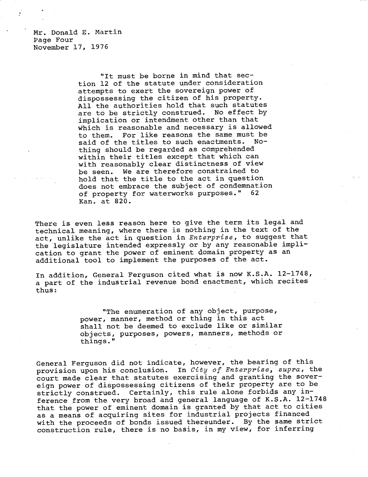Mr. Donald E. Martin Page Four November 17, 1976

> "It must be borne in mind that section 12 of the statute under consideration attempts to exert the sovereign power of dispossessing the citizen of his property. All the authorities hold that such statutes are to be strictly construed. No effect by implication or intendment other than that which is reasonable and necessary is allowed to them. For like reasons the same must be said of the titles to such enactments. Nothing should be regarded as comprehended within their titles except that which can with reasonably clear distinctness of view be seen. We are therefore constrained to hold that the title to the act in question does not embrace the subject of condemnation of property for waterworks purposes." 62 Kan. at 820.

There is even less reason here to give the term its legal and technical meaning, where there is nothing in the text of the act, unlike the act in question in Enterprise, to suggest that the legislature intended expressly or by any reasonable implication to grant the power of eminent domain property as an additional tool to implement the purposes of the act.

In addition, General Ferguson cited what is now K.S.A. 12-1748, a part of the industrial revenue bond enactment, which recites thus:

> "The enumeration of any object, purpose, power, manner, method or thing in this act shall not be deemed to exclude like or similar objects, purposes, powers, manners, methods or things."

General Ferguson did not indicate, however, the bearing of this provision upon his conclusion. In City of Enterprise, supra, the court made clear that statutes exercising and granting the sovereign power of dispossessing citizens of their property are to be strictly construed. Certainly, this rule alone forbids any inference from the very broad and general language of K.S.A. 12-1748 that the power of eminent domain is granted by that act to cities as a means of acquiring sites for industrial projects financed with the proceeds of bonds issued thereunder. By the same strict construction rule, there is no basis, in my view, for inferring